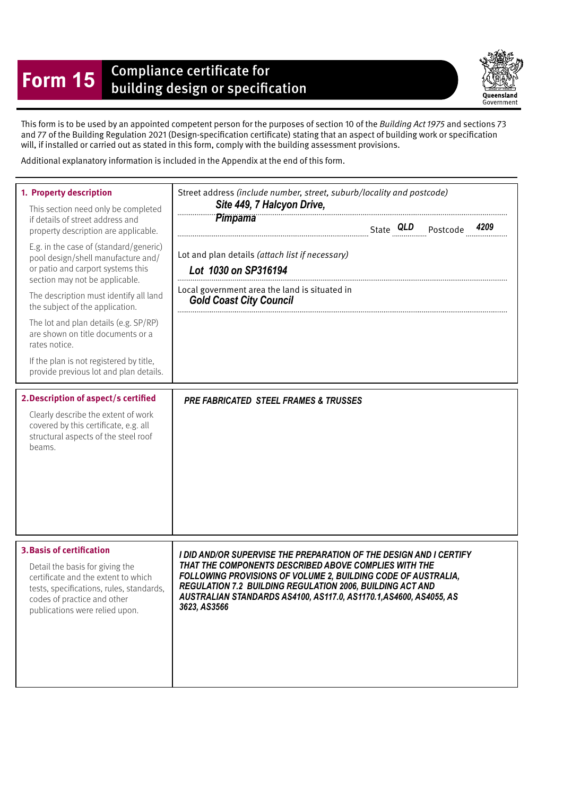## **Form 15** Compliance certificate for<br>building design or specification

Queensland Government

This form is to be used by an appointed competent person for the purposes of section 10 of the Building Act 1975 and sections 73 and 77 of the Building Regulation 2021 (Design-specifcation certifcate) stating that an aspect of building work or specifcation will, if installed or carried out as stated in this form, comply with the building assessment provisions.

Additional explanatory information is included in the Appendix at the end of this form.

| 1. Property description<br>This section need only be completed<br>if details of street address and<br>property description are applicable.<br>E.g. in the case of (standard/generic)<br>pool design/shell manufacture and/<br>or patio and carport systems this<br>section may not be applicable.<br>The description must identify all land<br>the subject of the application.<br>The lot and plan details (e.g. SP/RP)<br>are shown on title documents or a<br>rates notice.<br>If the plan is not registered by title,<br>provide previous lot and plan details.<br>2. Description of aspect/s certified<br>Clearly describe the extent of work<br>covered by this certificate, e.g. all<br>structural aspects of the steel roof<br>beams. | Street address (include number, street, suburb/locality and postcode)<br>Site 449, 7 Halcyon Drive,<br>Pimpama<br>Lot and plan details (attach list if necessary)<br>Lot 1030 on SP316194<br>Local government area the land is situated in<br><b>Gold Coast City Council</b><br><b>PRE FABRICATED STEEL FRAMES &amp; TRUSSES</b> |
|----------------------------------------------------------------------------------------------------------------------------------------------------------------------------------------------------------------------------------------------------------------------------------------------------------------------------------------------------------------------------------------------------------------------------------------------------------------------------------------------------------------------------------------------------------------------------------------------------------------------------------------------------------------------------------------------------------------------------------------------|----------------------------------------------------------------------------------------------------------------------------------------------------------------------------------------------------------------------------------------------------------------------------------------------------------------------------------|
| <b>3. Basis of certification</b>                                                                                                                                                                                                                                                                                                                                                                                                                                                                                                                                                                                                                                                                                                             | I DID AND/OR SUPERVISE THE PREPARATION OF THE DESIGN AND I CERTIFY                                                                                                                                                                                                                                                               |
| Detail the basis for giving the                                                                                                                                                                                                                                                                                                                                                                                                                                                                                                                                                                                                                                                                                                              | THAT THE COMPONENTS DESCRIBED ABOVE COMPLIES WITH THE                                                                                                                                                                                                                                                                            |
| certificate and the extent to which                                                                                                                                                                                                                                                                                                                                                                                                                                                                                                                                                                                                                                                                                                          | FOLLOWING PROVISIONS OF VOLUME 2, BUILDING CODE OF AUSTRALIA,                                                                                                                                                                                                                                                                    |
| tests, specifications, rules, standards,                                                                                                                                                                                                                                                                                                                                                                                                                                                                                                                                                                                                                                                                                                     | REGULATION 7.2 BUILDING REGULATION 2006, BUILDING ACT AND                                                                                                                                                                                                                                                                        |
| codes of practice and other                                                                                                                                                                                                                                                                                                                                                                                                                                                                                                                                                                                                                                                                                                                  | AUSTRALIAN STANDARDS AS4100, AS117.0, AS1170.1, AS4600, AS4055, AS                                                                                                                                                                                                                                                               |
| publications were relied upon.                                                                                                                                                                                                                                                                                                                                                                                                                                                                                                                                                                                                                                                                                                               | 3623, AS3566                                                                                                                                                                                                                                                                                                                     |